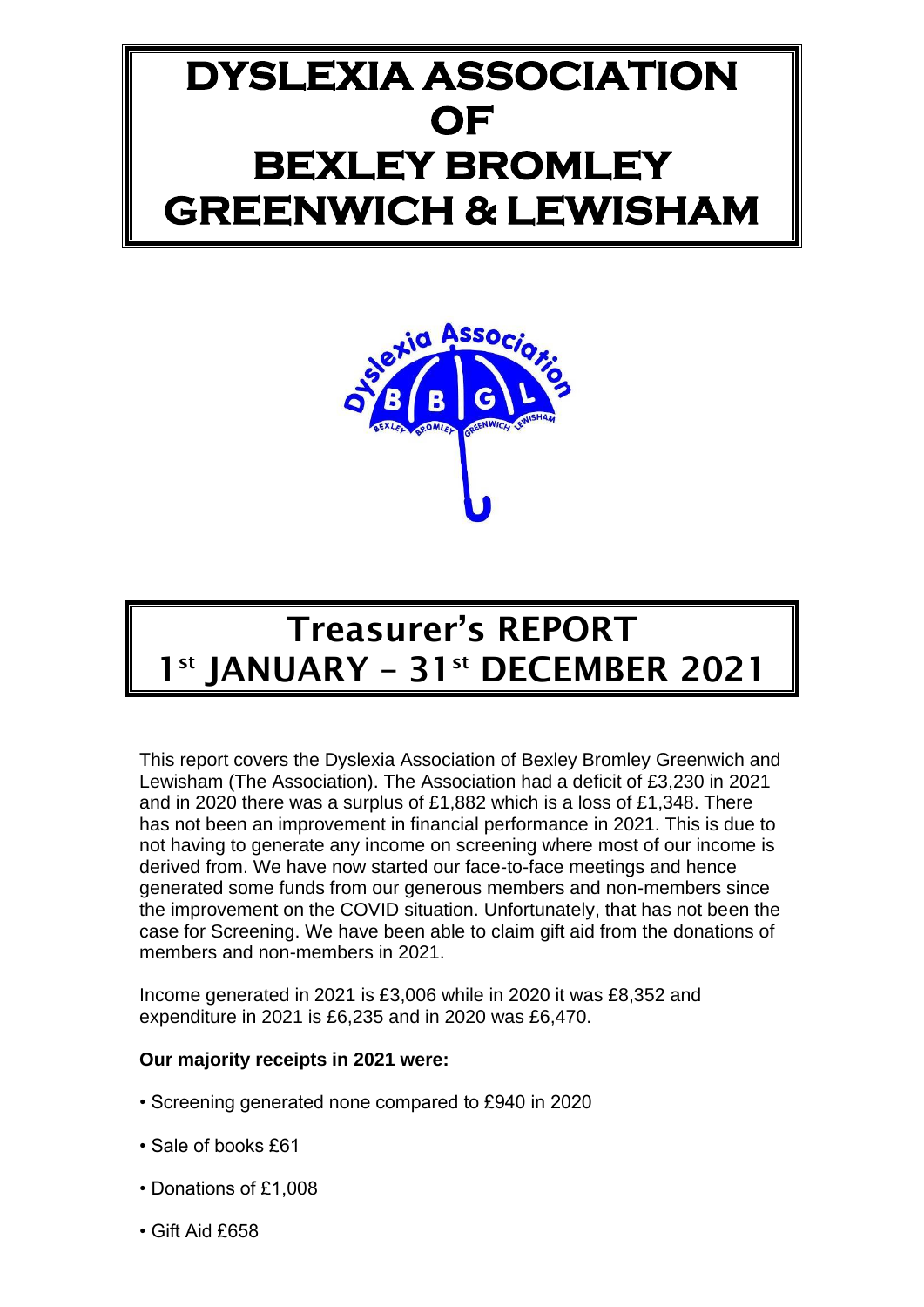# **DYSLEXIA ASSOCIATION OF BEXLEY BROMLEY GREENWICH & LEWISHAM**



# Treasurer's REPORT 1<sup>st</sup> JANUARY - 31<sup>st</sup> DECEMBER 2021

This report covers the Dyslexia Association of Bexley Bromley Greenwich and Lewisham (The Association). The Association had a deficit of £3,230 in 2021 and in 2020 there was a surplus of £1,882 which is a loss of £1,348. There has not been an improvement in financial performance in 2021. This is due to not having to generate any income on screening where most of our income is derived from. We have now started our face-to-face meetings and hence generated some funds from our generous members and non-members since the improvement on the COVID situation. Unfortunately, that has not been the case for Screening. We have been able to claim gift aid from the donations of members and non-members in 2021.

Income generated in 2021 is £3,006 while in 2020 it was £8,352 and expenditure in 2021 is £6,235 and in 2020 was £6,470.

## **Our majority receipts in 2021 were:**

- Screening generated none compared to £940 in 2020
- Sale of books £61
- Donations of £1,008
- Gift Aid £658